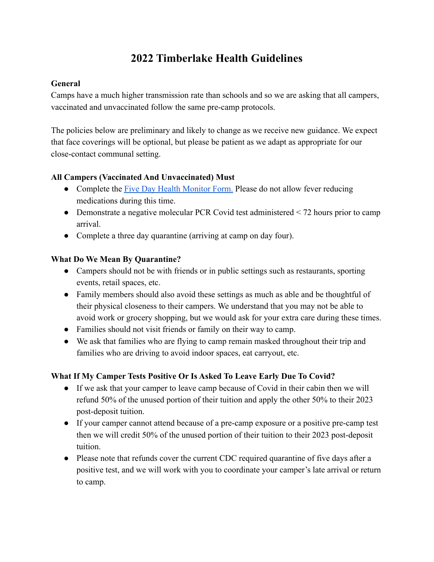# **2022 Timberlake Health Guidelines**

## **General**

Camps have a much higher transmission rate than schools and so we are asking that all campers, vaccinated and unvaccinated follow the same pre-camp protocols.

The policies below are preliminary and likely to change as we receive new guidance. We expect that face coverings will be optional, but please be patient as we adapt as appropriate for our close-contact communal setting.

## **All Campers (Vaccinated And Unvaccinated) Must**

- Complete the [Five Day Health Monitor Form.](https://www.camptimberlake.com/wp-content/uploads/2022/03/Five-Day-Health-Monitor-Form.pdf) Please do not allow fever reducing medications during this time.
- Demonstrate a negative molecular PCR Covid test administered  $\leq$  72 hours prior to camp arrival.
- Complete a three day quarantine (arriving at camp on day four).

# **What Do We Mean By Quarantine?**

- Campers should not be with friends or in public settings such as restaurants, sporting events, retail spaces, etc.
- Family members should also avoid these settings as much as able and be thoughtful of their physical closeness to their campers. We understand that you may not be able to avoid work or grocery shopping, but we would ask for your extra care during these times.
- Families should not visit friends or family on their way to camp.
- We ask that families who are flying to camp remain masked throughout their trip and families who are driving to avoid indoor spaces, eat carryout, etc.

# **What If My Camper Tests Positive Or Is Asked To Leave Early Due To Covid?**

- If we ask that your camper to leave camp because of Covid in their cabin then we will refund 50% of the unused portion of their tuition and apply the other 50% to their 2023 post-deposit tuition.
- If your camper cannot attend because of a pre-camp exposure or a positive pre-camp test then we will credit 50% of the unused portion of their tuition to their 2023 post-deposit tuition.
- Please note that refunds cover the current CDC required quarantine of five days after a positive test, and we will work with you to coordinate your camper's late arrival or return to camp.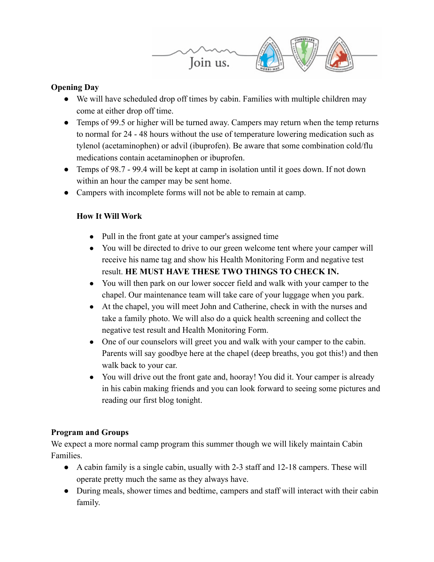

## **Opening Day**

- We will have scheduled drop off times by cabin. Families with multiple children may come at either drop off time.
- Temps of 99.5 or higher will be turned away. Campers may return when the temp returns to normal for 24 - 48 hours without the use of temperature lowering medication such as tylenol (acetaminophen) or advil (ibuprofen). Be aware that some combination cold/flu medications contain acetaminophen or ibuprofen.
- Temps of 98.7 99.4 will be kept at camp in isolation until it goes down. If not down within an hour the camper may be sent home.
- Campers with incomplete forms will not be able to remain at camp.

## **How It Will Work**

- Pull in the front gate at your camper's assigned time
- You will be directed to drive to our green welcome tent where your camper will receive his name tag and show his Health Monitoring Form and negative test result. **HE MUST HAVE THESE TWO THINGS TO CHECK IN.**
- You will then park on our lower soccer field and walk with your camper to the chapel. Our maintenance team will take care of your luggage when you park.
- At the chapel, you will meet John and Catherine, check in with the nurses and take a family photo. We will also do a quick health screening and collect the negative test result and Health Monitoring Form.
- One of our counselors will greet you and walk with your camper to the cabin. Parents will say goodbye here at the chapel (deep breaths, you got this!) and then walk back to your car.
- You will drive out the front gate and, hooray! You did it. Your camper is already in his cabin making friends and you can look forward to seeing some pictures and reading our first blog tonight.

# **Program and Groups**

We expect a more normal camp program this summer though we will likely maintain Cabin Families.

- A cabin family is a single cabin, usually with 2-3 staff and 12-18 campers. These will operate pretty much the same as they always have.
- During meals, shower times and bedtime, campers and staff will interact with their cabin family.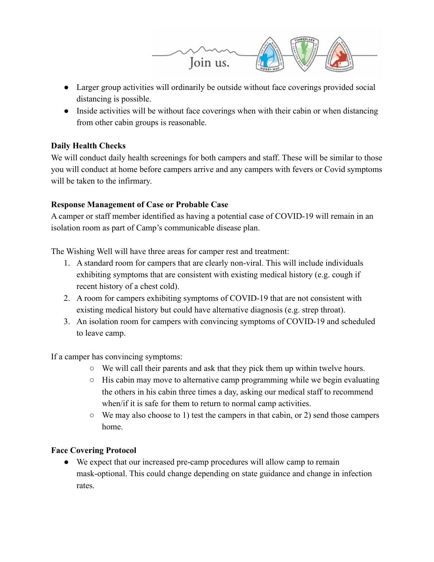

- Larger group activities will ordinarily be outside without face coverings provided social distancing is possible.
- Inside activities will be without face coverings when with their cabin or when distancing from other cabin groups is reasonable.

## **Daily Health Checks**

We will conduct daily health screenings for both campers and staff. These will be similar to those you will conduct at home before campers arrive and any campers with fevers or Covid symptoms will be taken to the infirmary.

## **Response Management of Case or Probable Case**

A camper or staff member identified as having a potential case of COVID-19 will remain in an isolation room as part of Camp's communicable disease plan.

The Wishing Well will have three areas for camper rest and treatment:

- 1. A standard room for campers that are clearly non-viral. This will include individuals exhibiting symptoms that are consistent with existing medical history (e.g. cough if recent history of a chest cold).
- 2. A room for campers exhibiting symptoms of COVID-19 that are not consistent with existing medical history but could have alternative diagnosis (e.g. strep throat).
- 3. An isolation room for campers with convincing symptoms of COVID-19 and scheduled to leave camp.

If a camper has convincing symptoms:

- $\circ$  We will call their parents and ask that they pick them up within twelve hours.
- His cabin may move to alternative camp programming while we begin evaluating the others in his cabin three times a day, asking our medical staff to recommend when/if it is safe for them to return to normal camp activities.
- $\circ$  We may also choose to 1) test the campers in that cabin, or 2) send those campers home.

# **Face Covering Protocol**

● We expect that our increased pre-camp procedures will allow camp to remain mask-optional. This could change depending on state guidance and change in infection rates.